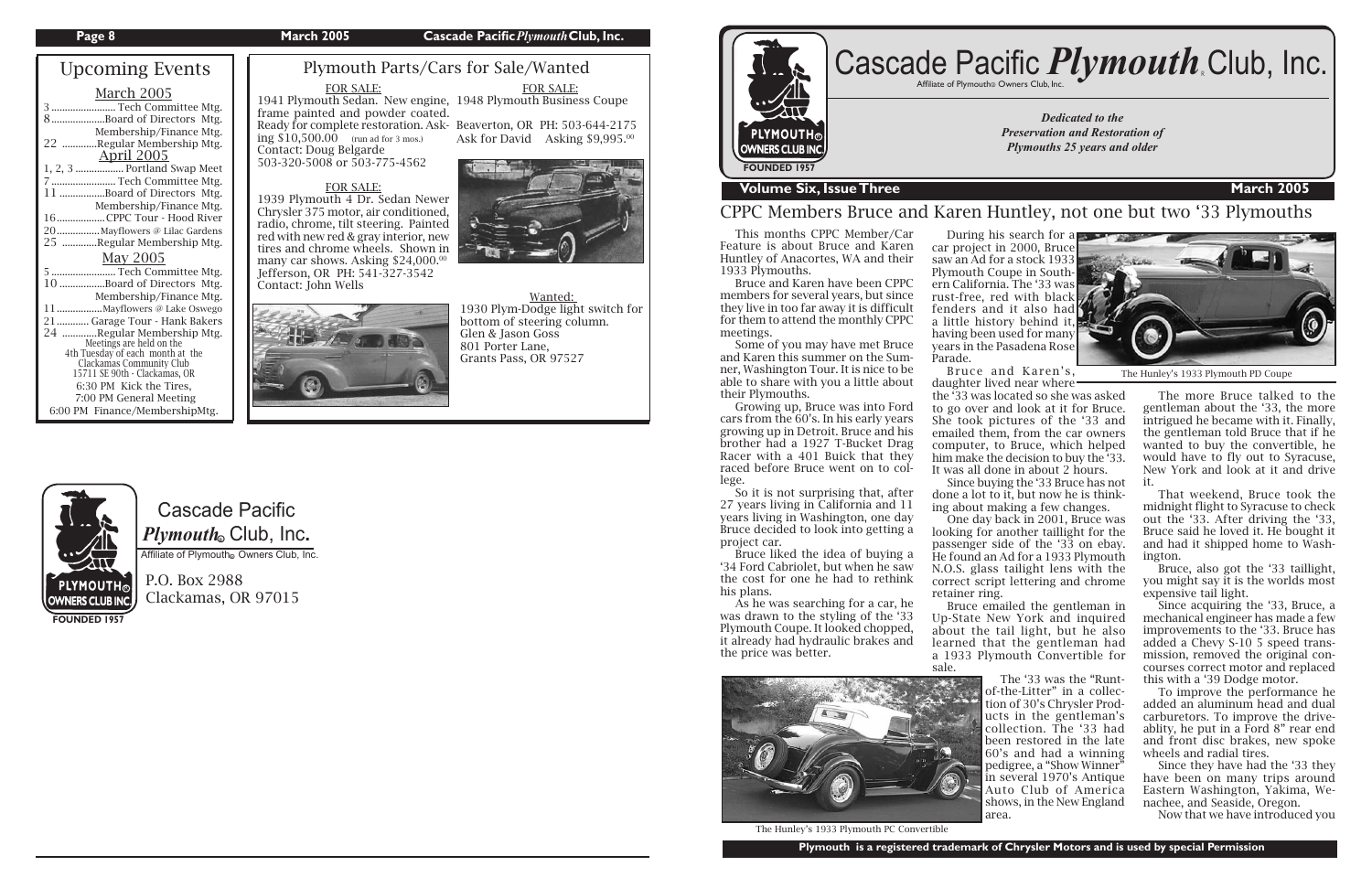# Cascade Pacific  $\boldsymbol{P} \boldsymbol{l}$ y*mouth*. Club, Inc.

Affiliate of Plymouth Owners Club, Inc.

P.O. Box 2988 Clackamas, OR 97015

| <b>Upcoming Events</b>                                                                                                                                                                                                                                                                                                                                                                                       |
|--------------------------------------------------------------------------------------------------------------------------------------------------------------------------------------------------------------------------------------------------------------------------------------------------------------------------------------------------------------------------------------------------------------|
| <b>March 2005</b><br>3  Tech Committee Mtg.<br>8Board of Directors Mtg.<br>Membership/Finance Mtg.<br>22 Regular Membership Mtg.<br><b>April 2005</b><br>1, 2, 3  Portland Swap Meet<br>7  Tech Committee Mtg.<br>11 Board of Directors Mtg.                                                                                                                                                                 |
| Membership/Finance Mtg.<br>16CPPC Tour - Hood River<br>20  Mayflowers @ Lilac Gardens<br>25 Regular Membership Mtg.                                                                                                                                                                                                                                                                                          |
| May 2005<br>5  Tech Committee Mtg.<br>10 Board of Directors Mtg.<br>Membership/Finance Mtg.<br>11Mayflowers @ Lake Oswego<br>21 Garage Tour - Hank Bakers<br>24 Regular Membership Mtg.<br>Meetings are held on the<br>4th Tuesday of each month at the<br>Clackamas Community Club<br>15711 SE 90th - Clackamas, OR<br>6:30 PM Kick the Tires,<br>7:00 PM General Meeting<br>6:00 PM Finance/MembershipMtg. |

1941 Plymouth Sedan. New engine, 1948 Plymouth Business Coupe frame painted and powder coated. Ready for complete restoration. Ask-Beaverton, OR PH: 503-644-2175 ing  $$10,500.00$  (run ad for 3 mos.)

many car shows. Asking \$24,000.00 Jefferson, OR PH: 541-327-3542

Ask for David Asking \$9,995.00

**FOUNDED 1957**

### **Page 8 March 2005 Cascade Pacific***Plymouth***Club, Inc.**

*Dedicated to the Preservation and Restoration of Plymouths 25 years and older*



## **The Volume Six, Issue Three March 2005**

# Cascade Pacific *Plymouth* Club, Inc.

## Plymouth Parts/Cars for Sale/Wanted

## CPPC Members Bruce and Karen Huntley, not one but two '33 Plymouths

#### FOR SALE:

Contact: Doug Belgarde

503-320-5008 or 503-775-4562

FOR SALE:

During his search for a car project in 2000, Bruce saw an Ad for a stock 1933 Plymouth Coupe in Southern California. The '33 was rust-free, red with black fenders and it also had a little history behind it, having been used for many years in the Pasadena Rose

 Bruce and Karen's, daughter lived near where

Chrysler 375 motor, air conditioned, radio, chrome, tilt steering. Painted red with new red & gray interior, new



Contact: John Wells

FOR SALE:

 This months CPPC Member/Car Feature is about Bruce and Karen Huntley of Anacortes, WA and their 1933 Plymouths.

 Bruce and Karen have been CPPC members for several years, but since they live in too far away it is difficult for them to attend the monthly CPPC meetings.

 Some of you may have met Bruce and Karen this summer on the Sumner, Washington Tour. It is nice to be able to share with you a little about their Plymouths.

 Growing up, Bruce was into Ford cars from the 60's. In his early years growing up in Detroit. Bruce and his brother had a 1927 T-Bucket Drag Racer with a 401 Buick that they raced before Bruce went on to college.

 So it is not surprising that, after 27 years living in California and 11 years living in Washington, one day Bruce decided to look into getting a project car.

 Bruce liked the idea of buying a '34 Ford Cabriolet, but when he saw the cost for one he had to rethink his plans.

 As he was searching for a car, he was drawn to the styling of the '33 Plymouth Coupe. It looked chopped, it already had hydraulic brakes and the price was better.

Wanted: 1930 Plym-Dodge light switch for bottom of steering column. Glen & Jason Goss 801 Porter Lane, Grants Pass, OR 97527



Parade.

 The more Bruce talked to the gentleman about the '33, the more intrigued he became with it. Finally, the gentleman told Bruce that if he wanted to buy the convertible, he would have to fly out to Syracuse, New York and look at it and drive it.

 That weekend, Bruce took the midnight flight to Syracuse to check out the '33. After driving the '33, Bruce said he loved it. He bought it and had it shipped home to Washington.

 Bruce, also got the '33 taillight, you might say it is the worlds most expensive tail light.

 Since acquiring the '33, Bruce, a mechanical engineer has made a few improvements to the '33. Bruce has added a Chevy S-10 5 speed transmission, removed the original concourses correct motor and replaced this with a '39 Dodge motor.

 To improve the performance he added an aluminum head and dual carburetors. To improve the driveablity, he put in a Ford 8" rear end and front disc brakes, new spoke wheels and radial tires.

 Since they have had the '33 they have been on many trips around Eastern Washington, Yakima, Wenachee, and Seaside, Oregon.

Now that we have introduced you



The Hunley's 1933 Plymouth PC Convertible

the '33 was located so she was asked to go over and look at it for Bruce. She took pictures of the '33 and emailed them, from the car owners computer, to Bruce, which helped him make the decision to buy the '33. It was all done in about 2 hours.

 Since buying the '33 Bruce has not done a lot to it, but now he is thinking about making a few changes. One day back in 2001, Bruce was looking for another taillight for the passenger side of the '33 on ebay. He found an Ad for a 1933 Plymouth N.O.S. glass tailight lens with the correct script lettering and chrome retainer ring. Bruce emailed the gentleman in

Up-State New York and inquired about the tail light, but he also learned that the gentleman had a 1933 Plymouth Convertible for sale.



 The '33 was the "Runtof-the-Litter" in a collection of 30's Chrysler Products in the gentleman's collection. The '33 had been restored in the late 60's and had a winning pedigree, a "Show Winner" in several 1970's Antique Auto Club of America shows, in the New England area.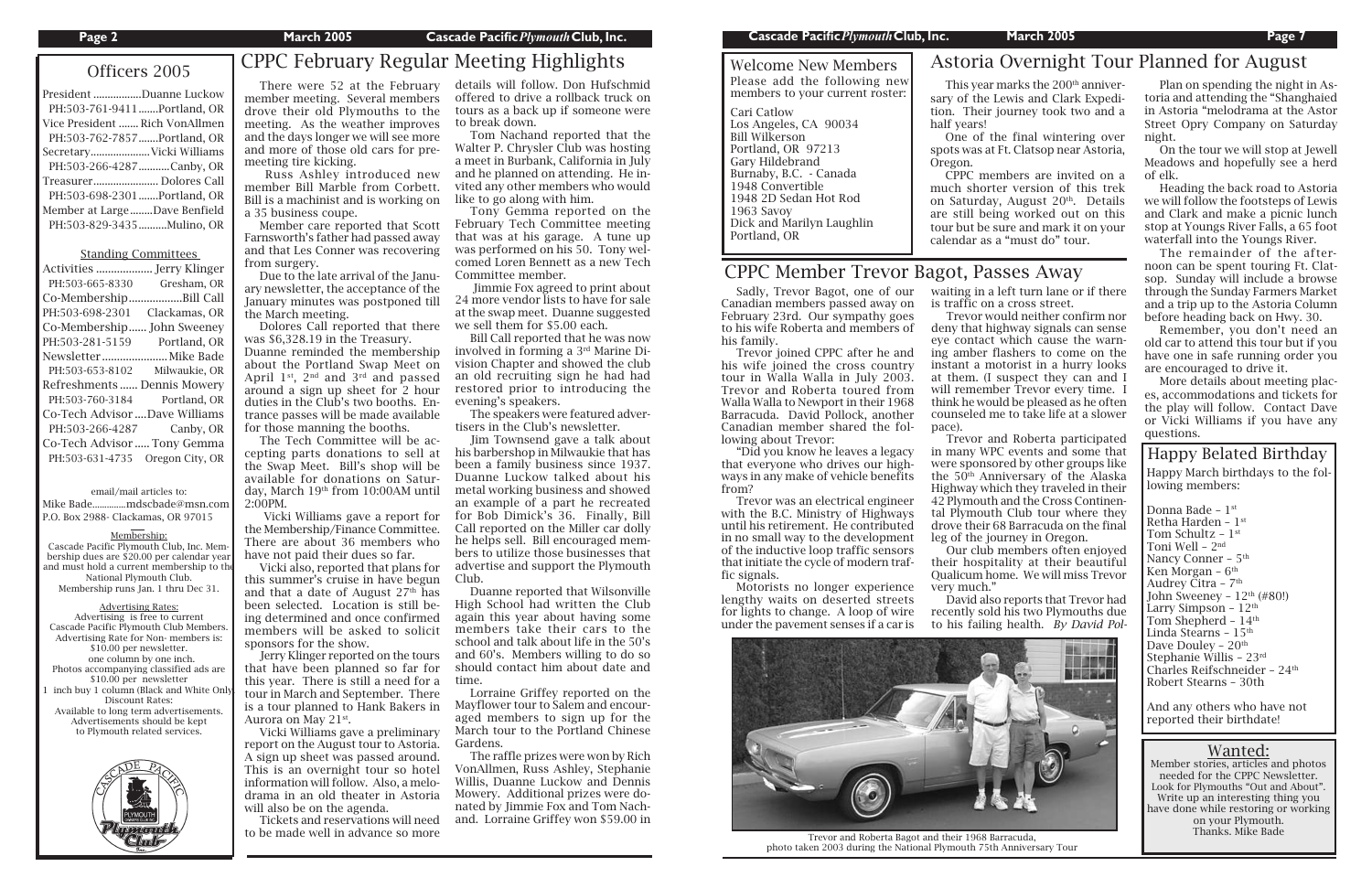# Officers 2005 CPPC February Regular Meeting Highlights

| President Duanne Luckow        |
|--------------------------------|
| PH:503-761-9411Portland, OR    |
| Vice President  Rich VonAllmen |
| PH:503-762-7857Portland, OR    |
| Secretary Vicki Williams       |
| PH:503-266-4287Canby, OR       |
| Treasurer Dolores Call         |
| PH:503-698-2301Portland, OR    |
| Member at LargeDave Benfield   |
| PH:503-829-3435Mulino, OR      |
|                                |

#### Standing Committees

| Activities  Jerry Klinger     |                 |
|-------------------------------|-----------------|
| PH:503-665-8330               | Gresham, OR     |
| Co-Membership.                | Bill Call       |
| PH:503-698-2301               | Clackamas, OR   |
| Co-Membership                 | John Sweeney    |
| PH:503-281-5159               | Portland, OR    |
|                               |                 |
| PH:503-653-8102               | Milwaukie, OR   |
| Refreshments  Dennis Mowery   |                 |
| PH:503-760-3184               | Portland, OR    |
| Co-Tech Advisor Dave Williams |                 |
| PH:503-266-4287               | Canby, OR       |
| Co-Tech Advisor  Tony Gemma   |                 |
| PH:503-631-4735               | Oregon City, OR |
|                               |                 |

Member stories, articles and photos needed for the CPPC Newsletter. Look for Plymouths "Out and About". Write up an interesting thing you have done while restoring or working on your Plymouth. Thanks. Mike Bade

#### email/mail articles to: Mike Bade ..............mdscbade@msn.com

P.O. Box 2988- Clackamas, OR 97015

#### Membership:

Cascade Pacific Plymouth Club, Inc. Membership dues are \$20.00 per calendar year and must hold a current membership to the National Plymouth Club. Membership runs Jan. 1 thru Dec 31.

#### Advertising Rates: Advertising is free to current Cascade Pacific Plymouth Club Members. Advertising Rate for Non- members is: \$10.00 per newsletter. one column by one inch. Photos accompanying classified ads are \$10.00 per newsletter inch buy 1 column (Black and White On Discount Rates: Available to long term advertisements. Advertisements should be kept to Plymouth related services.



#### **Page 2 March 2005 Cascade Pacific***Plymouth***Club, Inc. Cascade Pacific***Plymouth***Club, Inc. March 2005 Page 7**

## CPPC Member Trevor Bagot, Passes Away

## Wanted:

Welcome New Members Please add the following new members to your current roster: Cari Catlow Los Angeles, CA 90034 Bill Wilkerson

Portland, OR 97213 Gary Hildebrand Burnaby, B.C. - Canada 1948 Convertible 1948 2D Sedan Hot Rod 1963 Savoy Dick and Marilyn Laughlin Portland, OR



Trevor and Roberta Bagot and their 1968 Barracuda, photo taken 2003 during the National Plymouth 75th Anniversary Tour

 Sadly, Trevor Bagot, one of our Canadian members passed away on February 23rd. Our sympathy goes to his wife Roberta and members of his family.

 Trevor joined CPPC after he and his wife joined the cross country tour in Walla Walla in July 2003. Trevor and Roberta toured from Walla Walla to Newport in their 1968 Barracuda. David Pollock, another Canadian member shared the following about Trevor:

 "Did you know he leaves a legacy that everyone who drives our highways in any make of vehicle benefits from?

 Trevor was an electrical engineer with the B.C. Ministry of Highways until his retirement. He contributed in no small way to the development of the inductive loop traffic sensors that initiate the cycle of modern traffic signals.

 Motorists no longer experience lengthy waits on deserted streets for lights to change. A loop of wire under the pavement senses if a car is

waiting in a left turn lane or if there is traffic on a cross street.

 Trevor would neither confirm nor deny that highway signals can sense eye contact which cause the warning amber flashers to come on the instant a motorist in a hurry looks at them. (I suspect they can and I will remember Trevor every time. I think he would be pleased as he often counseled me to take life at a slower

pace).

 Trevor and Roberta participated in many WPC events and some that were sponsored by other groups like the 50th Anniversary of the Alaska Highway which they traveled in their 42 Plymouth and the Cross Continental Plymouth Club tour where they drove their 68 Barracuda on the final leg of the journey in Oregon.

 Our club members often enjoyed their hospitality at their beautiful Qualicum home. We will miss Trevor

This year marks the 200<sup>th</sup> anniversary of the Lewis and Clark Expedition. Their journey took two and a half years! One of the final wintering over spots was at Ft. Clatsop near Astoria, Oregon.

very much." David also reports that Trevor had recently sold his two Plymouths due to his failing health. *By David Pol-*

member meeting. Several members drove their old Plymouths to the meeting. As the weather improves and the days longer we will see more and more of those old cars for premeeting tire kicking.

> Audrey Čitra - 7<sup>th</sup> John Sweeney –  $12<sup>th</sup>$  (#80!) Larry Simpson –  $12<sup>th</sup>$ Tom Shepherd –  $14<sup>th</sup>$ Linda Stearns –  $15^{\rm th}$ Dave Douley - 20<sup>th</sup> Stephanie Willis – 23rd Charles Reifschneider - 24<sup>th</sup> Robert Stearns – 30th

 Russ Ashley introduced new member Bill Marble from Corbett. Bill is a machinist and is working on a 35 business coupe.

 Member care reported that Scott Farnsworth's father had passed away and that Les Conner was recovering from surgery.

 Due to the late arrival of the January newsletter, the acceptance of the January minutes was postponed till the March meeting.

Dolores Call reported that there

was \$6,328.19 in the Treasury. Duanne reminded the membership about the Portland Swap Meet on April 1st, 2nd and 3rd and passed around a sign up sheet for 2 hour duties in the Club's two booths. Entrance passes will be made available for those manning the booths.

 The Tech Committee will be accepting parts donations to sell at the Swap Meet. Bill's shop will be available for donations on Saturday, March 19th from 10:00AM until 2:00PM.

 There were 52 at the February details will follow. Don Hufschmid offered to drive a rollback truck on tours as a back up if someone were to break down.

 Vicki Williams gave a report for the Membership/Finance Committee. There are about 36 members who have not paid their dues so far.

 Vicki also, reported that plans for this summer's cruise in have begun and that a date of August  $27<sup>th</sup>$  has been selected. Location is still being determined and once confirmed members will be asked to solicit sponsors for the show.

 Jerry Klinger reported on the tours that have been planned so far for this year. There is still a need for a tour in March and September. There is a tour planned to Hank Bakers in Aurora on May 21st.

 Vicki Williams gave a preliminary report on the August tour to Astoria. A sign up sheet was passed around. This is an overnight tour so hotel information will follow. Also, a melodrama in an old theater in Astoria will also be on the agenda.

 Tickets and reservations will need to be made well in advance so more

 Tom Nachand reported that the Walter P. Chrysler Club was hosting a meet in Burbank, California in July and he planned on attending. He invited any other members who would like to go along with him.

 Tony Gemma reported on the February Tech Committee meeting that was at his garage. A tune up was performed on his 50. Tony welcomed Loren Bennett as a new Tech Committee member.

 Jimmie Fox agreed to print about 24 more vendor lists to have for sale at the swap meet. Duanne suggested we sell them for \$5.00 each.

 Bill Call reported that he was now involved in forming a 3rd Marine Division Chapter and showed the club an old recruiting sign he had had restored prior to introducing the evening's speakers.

 The speakers were featured advertisers in the Club's newsletter.

 Jim Townsend gave a talk about his barbershop in Milwaukie that has been a family business since 1937. Duanne Luckow talked about his metal working business and showed an example of a part he recreated for Bob Dimick's 36. Finally, Bill Call reported on the Miller car dolly he helps sell. Bill encouraged members to utilize those businesses that advertise and support the Plymouth Club.

 Duanne reported that Wilsonville High School had written the Club again this year about having some members take their cars to the school and talk about life in the 50's and 60's. Members willing to do so should contact him about date and time.

 Lorraine Griffey reported on the Mayflower tour to Salem and encouraged members to sign up for the March tour to the Portland Chinese Gardens.

 The raffle prizes were won by Rich VonAllmen, Russ Ashley, Stephanie Willis, Duanne Luckow and Dennis Mowery. Additional prizes were donated by Jimmie Fox and Tom Nachand. Lorraine Griffey won \$59.00 in

 CPPC members are invited on a much shorter version of this trek on Saturday, August  $20<sup>th</sup>$ . Details are still being worked out on this tour but be sure and mark it on your calendar as a "must do" tour.

> And any others who have not reported their birthdate!

 Plan on spending the night in Astoria and attending the "Shanghaied in Astoria "melodrama at the Astor Street Opry Company on Saturday night.

 On the tour we will stop at Jewell Meadows and hopefully see a herd of elk.

### Happy March birthdays to the following members: Donna Bade - 1st Retha Harden – 1st Tom Schultz - 1<sup>st</sup> Toni Well – 2nd Nancy Conner - 5<sup>th</sup> Ken Morgan – 6<sup>th</sup> Happy Belated Birthday

 Heading the back road to Astoria we will follow the footsteps of Lewis and Clark and make a picnic lunch stop at Youngs River Falls, a 65 foot waterfall into the Youngs River.

 The remainder of the afternoon can be spent touring Ft. Clatsop. Sunday will include a browse through the Sunday Farmers Market and a trip up to the Astoria Column before heading back on Hwy. 30.

 Remember, you don't need an old car to attend this tour but if you have one in safe running order you are encouraged to drive it.

 More details about meeting places, accommodations and tickets for the play will follow. Contact Dave or Vicki Williams if you have any questions.

## Astoria Overnight Tour Planned for August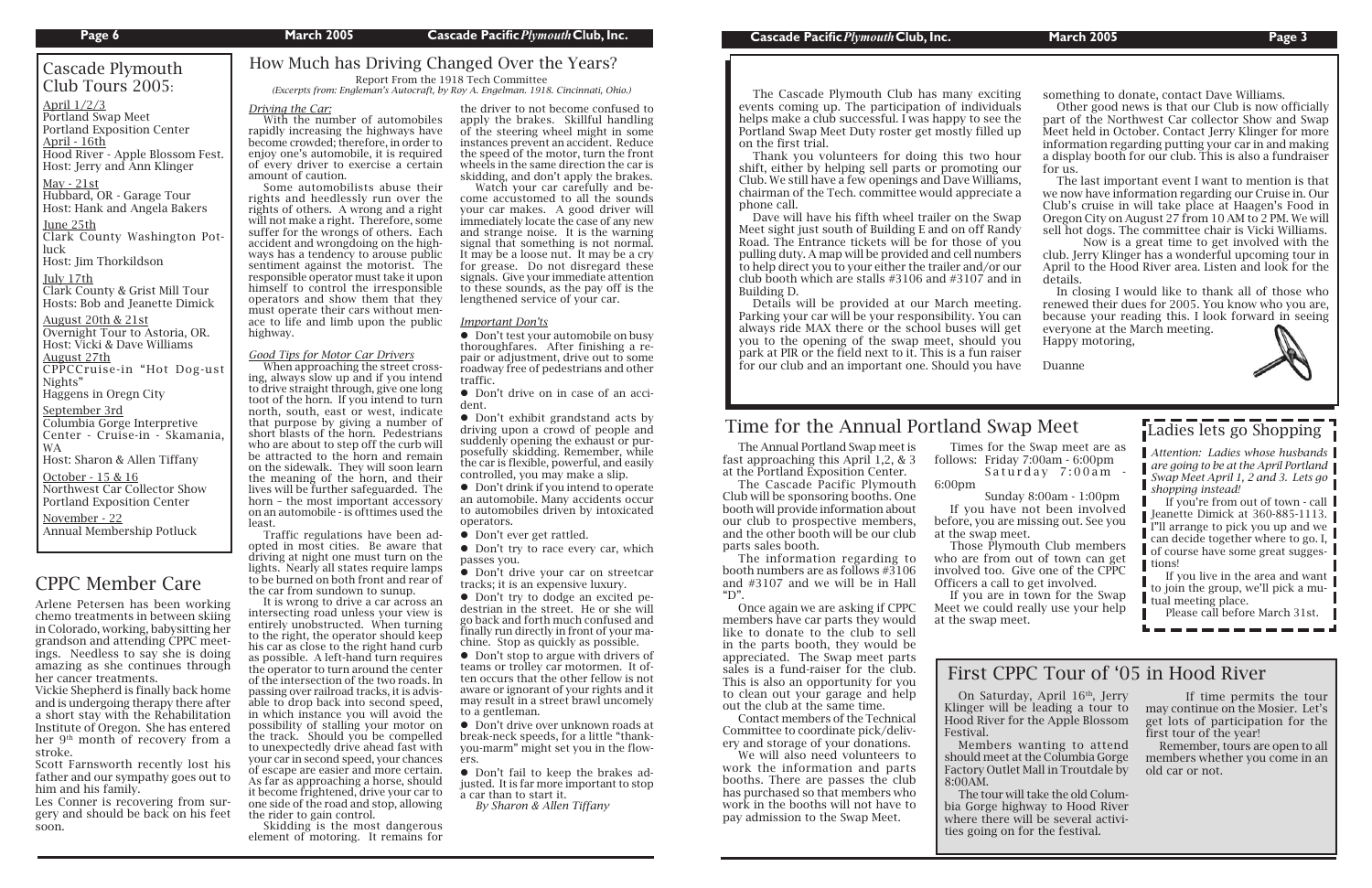## CPPC Member Care

 The Annual Portland Swap meet is fast approaching this April 1,2, & 3 at the Portland Exposition Center.

 The information regarding to booth numbers are as follows #3106 and #3107 and we will be in Hall " $D"$ 

 The Cascade Pacific Plymouth Club will be sponsoring booths. One booth will provide information about our club to prospective members, and the other booth will be our club parts sales booth.

 Times for the Swap meet are as follows: Friday 7:00am - 6:00pm Saturday 7:00am -

## Ladies lets go Shopping

 Once again we are asking if CPPC members have car parts they would like to donate to the club to sell in the parts booth, they would be appreciated. The Swap meet parts sales is a fund-raiser for the club. This is also an opportunity for you to clean out your garage and help out the club at the same time.

 Contact members of the Technical Committee to coordinate pick/delivery and storage of your donations.

 We will also need volunteers to work the information and parts booths. There are passes the club has purchased so that members who work in the booths will not have to pay admission to the Swap Meet.

## Cascade Plymouth Club Tours 2005:

April - 16th Hood River - Apple Blossom Fest. Host: Jerry and Ann Klinger

May - 21st Hubbard, OR - Garage Tour Host: Hank and Angela Baker<mark>s</mark>

6:00pm

Clark County & Grist Mill Tour Hosts: Bob and Jeanette Dimick

> Sunday 8:00am - 1:00pm If you have not been involved

before, you are missing out. See you at the swap meet.

 Those Plymouth Club members who are from out of town can get involved too. Give one of the CPPC Officers a call to get involved.

October - 15 & 16 Northwest Car Collector Show Portland Exposition Center

If you are in town for the Swap

Meet we could really use your help at the swap meet.

## Time for the Annual Portland Swap Meet

Arlene Petersen has been working chemo treatments in between skiing in Colorado, working, babysitting her grandson and attending CPPC meetings. Needless to say she is doing amazing as she continues through her cancer treatments.

Vickie Shepherd is finally back home and is undergoing therapy there after a short stay with the Rehabilitation Institute of Oregon. She has entered her 9th month of recovery from a stroke.

Scott Farnsworth recently lost his father and our sympathy goes out to him and his family.

Les Conner is recovering from surgery and should be back on his feet soon.

April 1/2/3 Portland Swap Meet Portland Exposition Center

June 25th Clark County Washington Potluck

Host: Jim Thorkildson ....

#### July 17th

On Saturday, April 16<sup>th</sup>, Jerry Klinger will be leading a tour to Hood River for the Apple Blossom

#### August 20th & 21st

Overnight Tour to Astoria, OR. Host: Vicki & Dave Williams August 27th CPPCCruise-in "Hot Dog-ust Nights"

Haggens in Oregn City ....

#### September 3rd Columbia Gorge Interpretive Center - Cruise-in - Skamania, WA

Host: Sharon & Allen Tiffany

November - 22 Annual Membership Potluck ....

 The Cascade Plymouth Club has many exciting events coming up. The participation of individuals helps make a club successful. I was happy to see the Portland Swap Meet Duty roster get mostly filled up on the first trial. Thank you volunteers for doing this two hour shift, either by helping sell parts or promoting our Club. We still have a few openings and Dave Williams, chairman of the Tech. committee would appreciate a phone call. Dave will have his fifth wheel trailer on the Swap Meet sight just south of Building E and on off Randy Road. The Entrance tickets will be for those of you pulling duty. A map will be provided and cell numbers to help direct you to your either the trailer and/or our club booth which are stalls #3106 and #3107 and in Building D. Details will be provided at our March meeting. Parking your car will be your responsibility. You can always ride MAX there or the school buses will get you to the opening of the swap meet, should you park at PIR or the field next to it. This is a fun raiser for our club and an important one. Should you have something to donate, contact Dave Williams. Other good news is that our Club is now officially part of the Northwest Car collector Show and Swap Meet held in October. Contact Jerry Klinger for more information regarding putting your car in and making a display booth for our club. This is also a fundraiser for us. The last important event I want to mention is that we now have information regarding our Cruise in. Our Club's cruise in will take place at Haagen's Food in Oregon City on August 27 from 10 AM to 2 PM. We will sell hot dogs. The committee chair is Vicki Williams. Now is a great time to get involved with the club. Jerry Klinger has a wonderful upcoming tour in April to the Hood River area. Listen and look for the details. In closing I would like to thank all of those who renewed their dues for 2005. You know who you are, because your reading this. I look forward in seeing everyone at the March meeting. Happy motoring, Duanne

 $\bullet$  Don't test your automobile on busy thoroughfares. After finishing a repair or adjustment, drive out to some roadway free of pedestrians and other traffic.

 $\bullet$  Don't try to race every car, which passes you.

• Don't stop to argue with drivers of teams or trolley car motormen. It often occurs that the other fellow is not aware or ignorant of your rights and it may result in a street brawl uncomely to a gentleman.

Festival.

 Members wanting to attend should meet at the Columbia Gorge Factory Outlet Mall in Troutdale by

8:00AM. The tour will take the old Columbia Gorge highway to Hood River where there will be several activities going on for the festival.

*Attention: Ladies whose husbands are going to be at the April Portland Swap Meet April 1, 2 and 3. Lets go shopping instead!*

 If you're from out of town - call I Ieanette Dimick at  $360-885-1113$ . I"ll arrange to pick you up and we can decide together where to go. I,  $\blacksquare$  of course have some great suggestions!

If you live in the area and want to join the group, we'll pick a mu-I tual meeting place.

Please call before March 31st.

 If time permits the tour may continue on the Mosier. Let's get lots of participation for the first tour of the year!

 Remember, tours are open to all members whether you come in an old car or not.

## First CPPC Tour of '05 in Hood River

#### *Driving the Car:*

 With the number of automobiles rapidly increasing the highways have become crowded; therefore, in order to enjoy one's automobile, it is required of every driver to exercise a certain amount of caution.

 Some automobilists abuse their rights and heedlessly run over the rights of others. A wrong and a right will not make a right. Therefore, some suffer for the wrongs of others. Each accident and wrongdoing on the highways has a tendency to arouse public sentiment against the motorist. The responsible operator must take it upon himself to control the irresponsible operators and show them that they must operate their cars without menace to life and limb upon the public highway.

#### *Good Tips for Motor Car Drivers*

 When approaching the street crossing, always slow up and if you intend to drive straight through, give one long toot of the horn. If you intend to turn north, south, east or west, indicate that purpose by giving a number of short blasts of the horn. Pedestrians who are about to step off the curb will be attracted to the horn and remain on the sidewalk. They will soon learn the meaning of the horn, and their lives will be further safeguarded. The horn – the most important accessory on an automobile - is ofttimes used the least.

 Traffic regulations have been adopted in most cities. Be aware that driving at night one must turn on the lights. Nearly all states require lamps to be burned on both front and rear of the car from sundown to sunup.

 It is wrong to drive a car across an intersecting road unless your view is entirely unobstructed. When turning to the right, the operator should keep his car as close to the right hand curb as possible. A left-hand turn requires the operator to turn around the center of the intersection of the two roads. In passing over railroad tracks, it is advisable to drop back into second speed, in which instance you will avoid the possibility of stalling your motor on the track. Should you be compelled to unexpectedly drive ahead fast with your car in second speed, your chances of escape are easier and more certain. As far as approaching a horse, should it become frightened, drive your car to one side of the road and stop, allowing the rider to gain control.

 Skidding is the most dangerous element of motoring. It remains for

the driver to not become confused to apply the brakes. Skillful handling of the steering wheel might in some instances prevent an accident. Reduce the speed of the motor, turn the front wheels in the same direction the car is skidding, and don't apply the brakes.

 Watch your car carefully and become accustomed to all the sounds your car makes. A good driver will immediately locate the case of any new and strange noise. It is the warning signal that something is not normal. It may be a loose nut. It may be a cry for grease. Do not disregard these signals. Give your immediate attention to these sounds, as the pay off is the lengthened service of your car.

#### *Important Don'ts*

 Don't drive on in case of an accident.

 Don't exhibit grandstand acts by driving upon a crowd of people and suddenly opening the exhaust or purposefully skidding. Remember, while the car is flexible, powerful, and easily controlled, you may make a slip.

 Don't drink if you intend to operate an automobile. Many accidents occur to automobiles driven by intoxicated operators.

• Don't ever get rattled.

 Don't drive your car on streetcar tracks; it is an expensive luxury.

 Don't try to dodge an excited pedestrian in the street. He or she will go back and forth much confused and finally run directly in front of your machine. Stop as quickly as possible.

 Don't drive over unknown roads at break-neck speeds, for a little "thankyou-marm" might set you in the flowers.

 Don't fail to keep the brakes adjusted. It is far more important to stop a car than to start it.

 *By Sharon & Allen Tiffany*

## How Much has Driving Changed Over the Years?

Report From the 1918 Tech Committee *(Excerpts from: Engleman's Autocraft, by Roy A. Engelman. 1918. Cincinnati, Ohio.)*